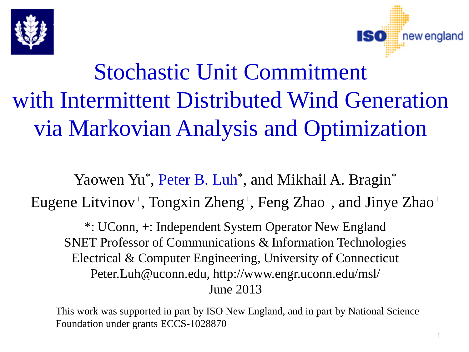



# Stochastic Unit Commitment with Intermittent Distributed Wind Generation via Markovian Analysis and Optimization

Yaowen Yu\*, Peter B. Luh\*, and Mikhail A. Bragin\* Eugene Litvinov<sup>+</sup>, Tongxin Zheng<sup>+</sup>, Feng Zhao<sup>+</sup>, and Jinye Zhao<sup>+</sup>

\*: UConn, +: Independent System Operator New England SNET Professor of Communications & Information Technologies Electrical & Computer Engineering, University of Connecticut Peter.Luh@uconn.edu, http://www.engr.uconn.edu/msl/ June 2013

This work was supported in part by ISO New England, and in part by National Science Foundation under grants ECCS-1028870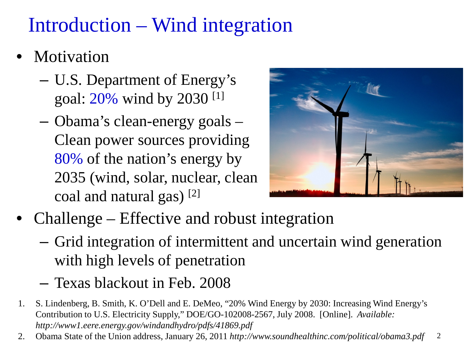# Introduction – Wind integration

- Motivation
	- U.S. Department of Energy's goal: 20% wind by 2030 [1]
	- Obama's clean-energy goals Clean power sources providing 80% of the nation's energy by 2035 (wind, solar, nuclear, clean coal and natural gas) [2]



- Challenge Effective and robust integration
	- Grid integration of intermittent and uncertain wind generation with high levels of penetration
	- Texas blackout in Feb. 2008
- 1. S. Lindenberg, B. Smith, K. O'Dell and E. DeMeo, "20% Wind Energy by 2030: Increasing Wind Energy's Contribution to U.S. Electricity Supply," DOE/GO-102008-2567, July 2008. [Online]. *Available: http://www1.eere.energy.gov/windandhydro/pdfs/41869.pdf*
- 2 2. Obama State of the Union address, January 26, 2011 *http://www.soundhealthinc.com/political/obama3.pdf*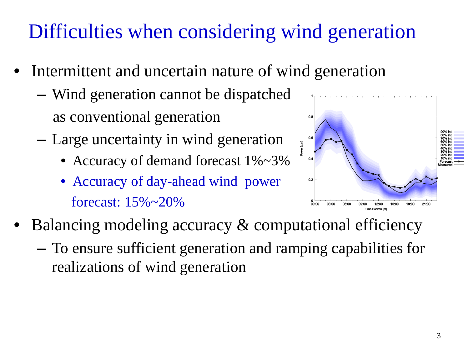# Difficulties when considering wind generation

- Intermittent and uncertain nature of wind generation
	- Wind generation cannot be dispatched as conventional generation
	- Large uncertainty in wind generation
		- Accuracy of demand forecast  $1\% \sim 3\%$
		- Accuracy of day-ahead wind power forecast: 15%~20%



- Balancing modeling accuracy & computational efficiency
	- To ensure sufficient generation and ramping capabilities for realizations of wind generation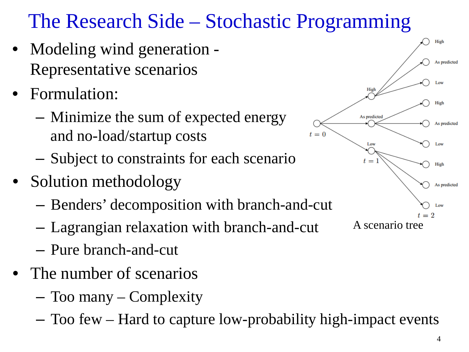# The Research Side – Stochastic Programming

- Modeling wind generation Representative scenarios
- Formulation:
	- Minimize the sum of expected energy and no-load/startup costs
	- Subject to constraints for each scenario
- Solution methodology
	- Benders' decomposition with branch-and-cut
	- Lagrangian relaxation with branch-and-cut
	- Pure branch-and-cut
- The number of scenarios
	- Too many Complexity
	- Too few Hard to capture low-probability high-impact events

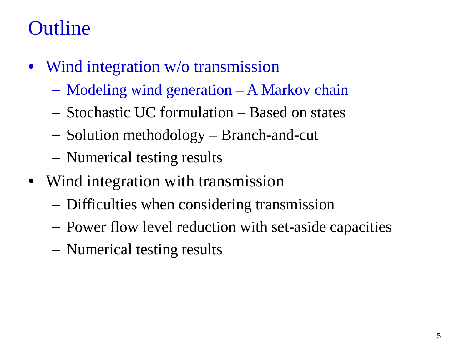# **Outline**

- Wind integration w/o transmission
	- Modeling wind generation A Markov chain
	- Stochastic UC formulation Based on states
	- Solution methodology Branch-and-cut
	- Numerical testing results
- Wind integration with transmission
	- Difficulties when considering transmission
	- Power flow level reduction with set-aside capacities
	- Numerical testing results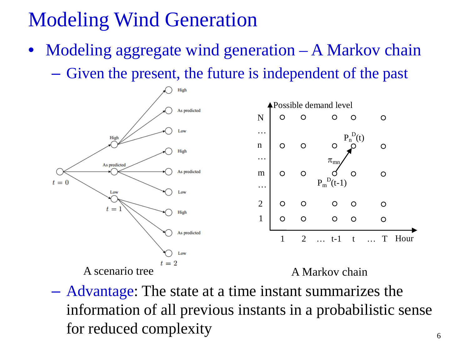# Modeling Wind Generation

 $Modeling$  aggregate wind generation  $-A$  Markov chain – Given the present, the future is independent of the past



– Advantage: The state at a time instant summarizes the information of all previous instants in a probabilistic sense for reduced complexity  $\frac{6}{6}$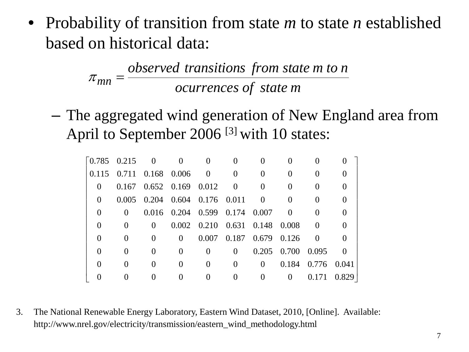• Probability of transition from state *m* to state *n* established based on historical data:

> *ocurrences of state m observed transitions from state m to n*  $\pi_{mn} =$

– The aggregated wind generation of New England area from April to September 2006<sup>[3]</sup> with 10 states:

|          | $\begin{bmatrix} 0.785 & 0.215 & 0 \end{bmatrix}$ |                                         |              |                                           |                                 |                |                   |                   |       |
|----------|---------------------------------------------------|-----------------------------------------|--------------|-------------------------------------------|---------------------------------|----------------|-------------------|-------------------|-------|
|          |                                                   | $0.115$ $0.711$ $0.168$ $0.006$ 0       |              |                                           |                                 |                |                   |                   |       |
| $\Omega$ |                                                   | $0.167$ $0.652$ $0.169$ $0.012$ 0       |              |                                           |                                 |                |                   |                   |       |
| $\theta$ |                                                   | $0.005$ $0.204$ $0.604$ $0.176$ $0.011$ |              |                                           |                                 | $\overline{0}$ |                   |                   |       |
|          | $\Omega$                                          |                                         |              | $0.016$ $0.204$ $0.599$ $0.174$ $0.007$ 0 |                                 |                |                   |                   |       |
|          |                                                   | $\theta$                                |              | 0.002 0.210 0.631 0.148 0.008             |                                 |                |                   |                   |       |
|          | $\theta$                                          | $\mathbf{0}$                            | $\theta$     |                                           | $0.007$ $0.187$ $0.679$ $0.126$ |                |                   | $\Omega$          |       |
|          | $\mathbf{\Omega}$                                 | $\Omega$                                | $\Omega$     | $\Omega$                                  | 0                               |                | 0.205 0.700 0.095 |                   |       |
|          | $\mathbf{\Omega}$                                 | $\theta$                                | $\mathbf{0}$ | $\theta$                                  | $\Omega$                        | $\Omega$       |                   | 0.184 0.776 0.041 |       |
|          |                                                   |                                         |              |                                           |                                 |                | $\theta$          | 0.171             | 0.829 |

3. The National Renewable Energy Laboratory, Eastern Wind Dataset, 2010, [Online]. Available: http://www.nrel.gov/electricity/transmission/eastern\_wind\_methodology.html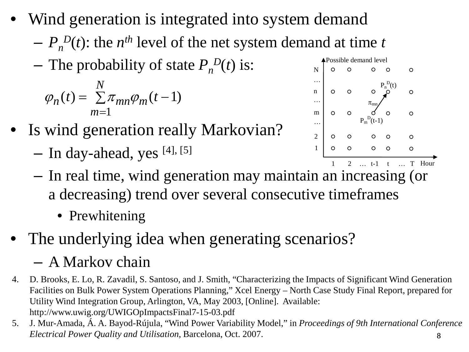- Wind generation is integrated into system demand
	- $-P_n^D(t)$ : the *n<sup>th</sup>* level of the net system demand at time *t*
	- $-$  The probability of state  $P_n^D(t)$  is:

$$
\varphi_n(t) = \sum_{m=1}^{N} \pi_{mn} \varphi_m(t-1)
$$

- Is wind generation really Markovian?
	- In day-ahead, yes [4], [5]



- In real time, wind generation may maintain an increasing (or a decreasing) trend over several consecutive timeframes
	- Prewhitening
- The underlying idea when generating scenarios?

#### – A Markov chain

- 4. D. Brooks, E. Lo, R. Zavadil, S. Santoso, and J. Smith, "Characterizing the Impacts of Significant Wind Generation Facilities on Bulk Power System Operations Planning," Xcel Energy – North Case Study Final Report, prepared for Utility Wind Integration Group, Arlington, VA, May 2003, [Online]. Available: http://www.uwig.org/UWIGOpImpactsFinal7-15-03.pdf
- 8 5. J. Mur-Amada, Á. A. Bayod-Rújula, "Wind Power Variability Model," in *Proceedings of 9th International Conference Electrical Power Quality and Utilisation*, Barcelona, Oct. 2007.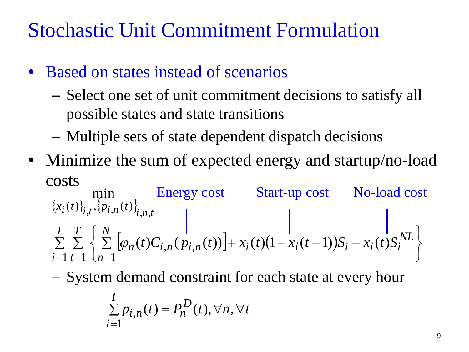### Stochastic Unit Commitment Formulation

- Based on states instead of scenarios
	- Select one set of unit commitment decisions to satisfy all possible states and state transitions
	- Multiple sets of state dependent dispatch decisions
- Minimize the sum of expected energy and startup/no-load costs

 ${x_i(t)}_{i,t}$ ,  ${p_{i,n}(t)}$  $\sum_{i=1} \sum_{t=1} \left\{ \sum_{n=1} \left[ \varphi_n(t) C_{i,n}(p_{i,n}(t)) \right] + x_i(t) \left(1 - x_i(t-1)\right) S_i + x_i(t) S_i^{NL} \right\}$  $\vert$  $\overline{\mathcal{L}}$  $\sum_{i=1}^{T} \left\{ \sum_{i=1}^{N} \left[ \varphi_n(t) C_{i,n}(p_{i,n}(t)) \right] + x_i(t) \left( 1 - x_i(t-1) \right) S_i + \right.$  $=1$   $t=1$   $\lfloor n=1 \rfloor$ *I i NL*  $i^{i}$   $(i)$   $(1 - x_i(i - 1))$  $S_i + x_i(i)$  $S_i$ *N n*  $n^{(l)}C_{i,n}$   $\langle P_{i,n} \rangle$ *T t*  $x_i(t)$ <sub>i</sub>,  $\{p_{i,n}(t)\}$  $t)C_{i,n}(p_{i,n}(t))$  +  $x_i(t)(1-x_i(t-1))S_i + x_i(t)S$  $i^{(t)}i_{i,t}$ ,  $(p_{i,n}(t))_{i,n,t}$  $\sum_{i=1}^{\infty}\sum_{t=1}^{\infty}[\varphi_n(t)C_{i,n}(p_t)]$  $(t)\, \, f_{i,t}, \, \langle p_{i,n}(t) \rangle$  $(t)C_{i,n}(p_{i,n}(t))$  +  $x_i(t)(1-x_i(t-1))S_i + x_i(t)$ min  $_{,t},\{p_{i,n}(t)\}_{i,n},$  $|\varphi|$ Energy cost Start-up cost No-load cost

– System demand constraint for each state at every hour

$$
\sum_{i=1}^{I} p_{i,n}(t) = P_n^D(t), \forall n, \forall t
$$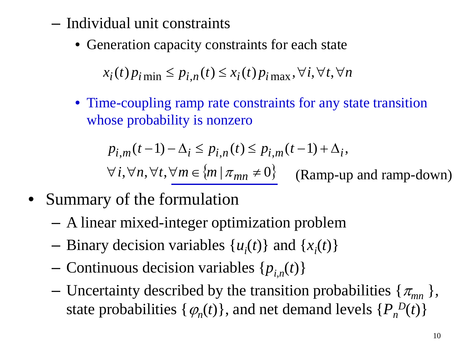- Individual unit constraints
	- Generation capacity constraints for each state

 $x_i(t)p_{i \text{min}} \leq p_{i,n}(t) \leq x_i(t)p_{i \text{max}}, \forall i, \forall t, \forall n$ 

• Time-coupling ramp rate constraints for any state transition whose probability is nonzero

$$
p_{i,m}(t-1) - \Delta_i \le p_{i,n}(t) \le p_{i,m}(t-1) + \Delta_i,
$$

 $\forall i, \forall n, \forall t, \forall m \in \{m \mid \pi_{mn} \neq 0\}$ (Ramp-up and ramp-down)

- Summary of the formulation
	- A linear mixed-integer optimization problem
	- $-$  Binary decision variables  $\{u_i(t)\}\$  and  $\{x_i(t)\}\$
	- Continuous decision variables  $\{p_{i,n}(t)\}$
	- Uncertainty described by the transition probabilities  $\{\pi_{mn}\}\,$ state probabilities  $\{\varphi_n(t)\}\$ , and net demand levels  $\{P_n^D(t)\}\$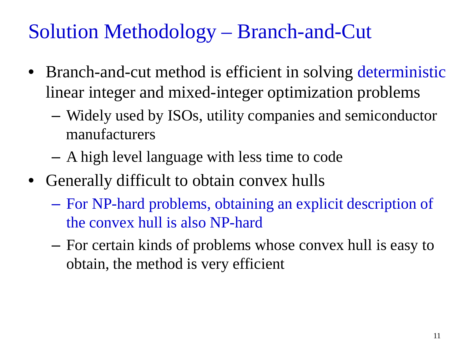### Solution Methodology – Branch-and-Cut

- Branch-and-cut method is efficient in solving deterministic linear integer and mixed-integer optimization problems
	- Widely used by ISOs, utility companies and semiconductor manufacturers
	- A high level language with less time to code
- Generally difficult to obtain convex hulls
	- For NP-hard problems, obtaining an explicit description of the convex hull is also NP-hard
	- For certain kinds of problems whose convex hull is easy to obtain, the method is very efficient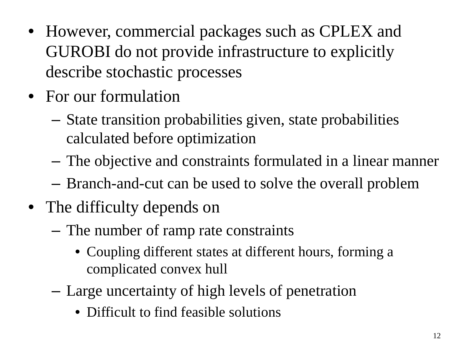- However, commercial packages such as CPLEX and GUROBI do not provide infrastructure to explicitly describe stochastic processes
- For our formulation
	- State transition probabilities given, state probabilities calculated before optimization
	- The objective and constraints formulated in a linear manner
	- Branch-and-cut can be used to solve the overall problem
- The difficulty depends on
	- The number of ramp rate constraints
		- Coupling different states at different hours, forming a complicated convex hull
	- Large uncertainty of high levels of penetration
		- Difficult to find feasible solutions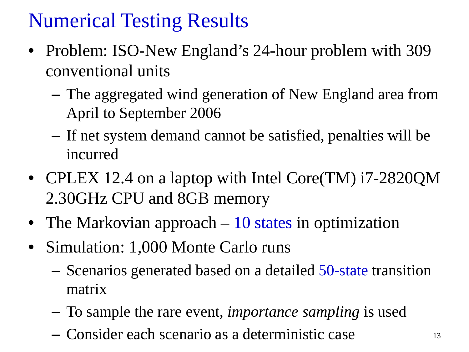# Numerical Testing Results

- Problem: ISO-New England's 24-hour problem with 309 conventional units
	- The aggregated wind generation of New England area from April to September 2006
	- If net system demand cannot be satisfied, penalties will be incurred
- CPLEX 12.4 on a laptop with Intel Core(TM) i7-2820QM 2.30GHz CPU and 8GB memory
- The Markovian approach 10 states in optimization
- Simulation: 1,000 Monte Carlo runs
	- Scenarios generated based on a detailed 50-state transition matrix
	- To sample the rare event, *importance sampling* is used
	- Consider each scenario as a deterministic case <sup>13</sup>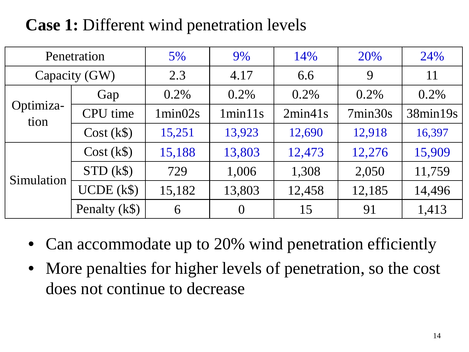#### **Case 1:** Different wind penetration levels

|                   | Penetration     | $5\%$    | 9%       | 14%     | 20%     | 24%      |
|-------------------|-----------------|----------|----------|---------|---------|----------|
|                   | Capacity (GW)   | 2.3      | 4.17     | 6.6     | 9       | 11       |
|                   | Gap             | $0.2\%$  | $0.2\%$  | $0.2\%$ | $0.2\%$ | 0.2%     |
| Optimiza-<br>tion | <b>CPU</b> time | 1 min02s | 1min11s  | 2min41s | 7min30s | 38min19s |
|                   | $Cost (k\$ )    | 15,251   | 13,923   | 12,690  | 12,918  | 16,397   |
|                   | $Cost (k\$ )    | 15,188   | 13,803   | 12,473  | 12,276  | 15,909   |
| Simulation        | $STD$ (k\$)     | 729      | 1,006    | 1,308   | 2,050   | 11,759   |
|                   | $UCDE$ (k\$)    | 15,182   | 13,803   | 12,458  | 12,185  | 14,496   |
|                   | Penalty (k\$)   | 6        | $\theta$ | 15      | 91      | 1,413    |

- Can accommodate up to 20% wind penetration efficiently
- More penalties for higher levels of penetration, so the cost does not continue to decrease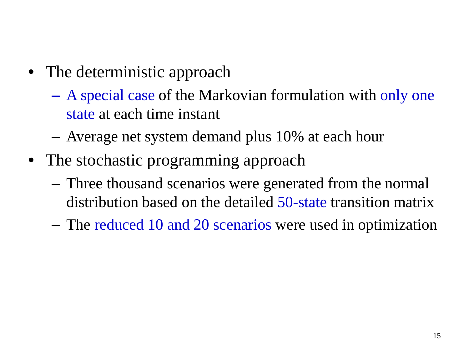- The deterministic approach
	- A special case of the Markovian formulation with only one state at each time instant
	- Average net system demand plus 10% at each hour
- The stochastic programming approach
	- Three thousand scenarios were generated from the normal distribution based on the detailed 50-state transition matrix
	- The reduced 10 and 20 scenarios were used in optimization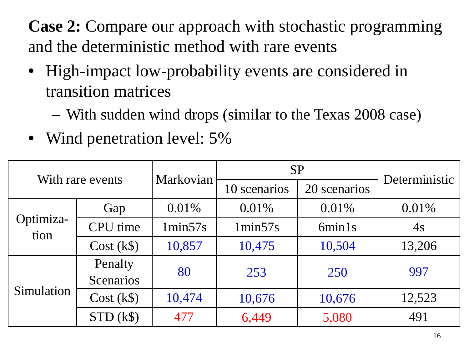**Case 2:** Compare our approach with stochastic programming and the deterministic method with rare events

- High-impact low-probability events are considered in transition matrices
	- With sudden wind drops (similar to the Texas 2008 case)
- Wind penetration level: 5%

|                   | With rare events | Markovian          | <b>SP</b>    | Deterministic |        |  |
|-------------------|------------------|--------------------|--------------|---------------|--------|--|
|                   |                  |                    | 10 scenarios | 20 scenarios  |        |  |
|                   | Gap              | $0.01\%$           | 0.01%        | 0.01%         | 0.01%  |  |
| Optimiza-<br>tion | <b>CPU</b> time  | 1min57s<br>1min57s |              | 6min1s        | 4s     |  |
|                   | $Cost (k\$ )     | 10,857             | 10,475       | 10,504        | 13,206 |  |
|                   | Penalty          | 80                 | 253          | 250           | 997    |  |
|                   | <b>Scenarios</b> |                    |              |               |        |  |
| Simulation        | $Cost (k\$ )     | 10,474             | 10,676       | 10,676        | 12,523 |  |
|                   | $STD$ (k\$)      | 477                | 6,449        | 5,080         | 491    |  |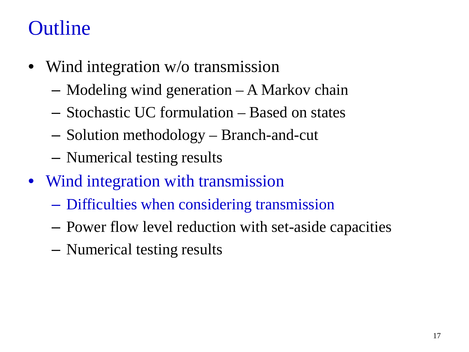# **Outline**

- Wind integration w/o transmission
	- Modeling wind generation A Markov chain
	- Stochastic UC formulation Based on states
	- Solution methodology Branch-and-cut
	- Numerical testing results
- Wind integration with transmission
	- Difficulties when considering transmission
	- Power flow level reduction with set-aside capacities
	- Numerical testing results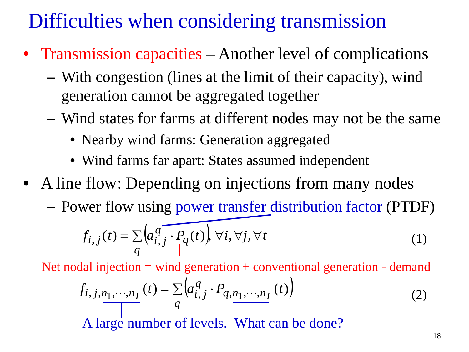# Difficulties when considering transmission

- Transmission capacities Another level of complications
	- With congestion (lines at the limit of their capacity), wind generation cannot be aggregated together
	- Wind states for farms at different nodes may not be the same
		- Nearby wind farms: Generation aggregated
		- Wind farms far apart: States assumed independent
- A line flow: Depending on injections from many nodes
	- Power flow using power transfer distribution factor (PTDF)

$$
f_{i,j}(t) = \sum_{q} \left( a_{i,j}^q \overbrace{\cdot \cdot \cdot}_{q} (t) \right) \forall i, \forall j, \forall t
$$
 (1)

Net nodal injection = wind generation + conventional generation - demand

$$
f_{i,j,n_1,\dots,n_I}(t) = \sum_{q} \left( a_{i,j}^q \cdot P_{q,n_1,\dots,n_I}(t) \right)
$$
 (2)

A large number of levels. What can be done?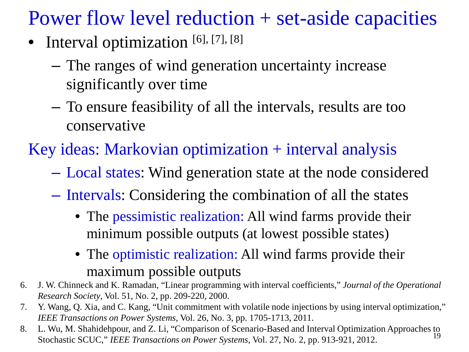Power flow level reduction + set-aside capacities

- Interval optimization [6], [7], [8]
	- The ranges of wind generation uncertainty increase significantly over time
	- To ensure feasibility of all the intervals, results are too conservative
- Key ideas: Markovian optimization + interval analysis
	- Local states: Wind generation state at the node considered
	- Intervals: Considering the combination of all the states
		- The pessimistic realization: All wind farms provide their minimum possible outputs (at lowest possible states)
		- The optimistic realization: All wind farms provide their maximum possible outputs
- 6. J. W. Chinneck and K. Ramadan, "Linear programming with interval coefficients," *Journal of the Operational Research Society*, Vol. 51, No. 2, pp. 209-220, 2000.
- 7. Y. Wang, Q. Xia, and C. Kang, "Unit commitment with volatile node injections by using interval optimization," *IEEE Transactions on Power Systems*, Vol. 26, No. 3, pp. 1705-1713, 2011.
- 19 8. L. Wu, M. Shahidehpour, and Z. Li, "Comparison of Scenario-Based and Interval Optimization Approaches to Stochastic SCUC," *IEEE Transactions on Power Systems*, Vol. 27, No. 2, pp. 913-921, 2012.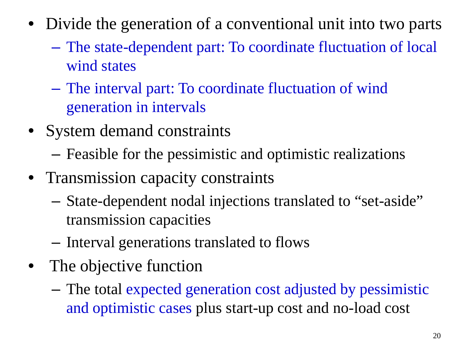- Divide the generation of a conventional unit into two parts
	- The state-dependent part: To coordinate fluctuation of local wind states
	- The interval part: To coordinate fluctuation of wind generation in intervals
- System demand constraints
	- Feasible for the pessimistic and optimistic realizations
- Transmission capacity constraints
	- State-dependent nodal injections translated to "set-aside" transmission capacities
	- Interval generations translated to flows
- The objective function
	- The total expected generation cost adjusted by pessimistic and optimistic cases plus start-up cost and no-load cost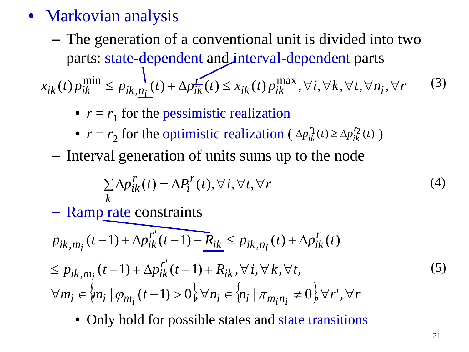- Markovian analysis
	- The generation of a conventional unit is divided into two parts: state-dependent and interval-dependent parts  $x_{ik}(t) p_{ik}^{\min} \le p_{ik, n_i}(t) + \Delta p_{ik}^{\text{r}}(t) \le x_{ik}(t) p_{ik}^{\max}, \forall i, \forall k, \forall t, \forall n_i, \forall r$  (3)
		- $r = r_1$  for the pessimistic realization
		- $r = r_2$  for the optimistic realization ( $\Delta p_{ik}^{\prime\prime}(t) \ge \Delta p_{ik}^{\prime\prime\prime}(t)$ )  $\Delta p_{ik}^{\prime \prime}(t)$  ≥  $\Delta$
		- Interval generation of units sums up to the node

$$
\sum_{k} \Delta p_{ik}^{r}(t) = \Delta P_{i}^{r}(t), \forall i, \forall t, \forall r
$$
\n(4)

– Ramp rate constraints

$$
p_{ik,m_i}(t-1) + \Delta p_{ik}^{r'}(t-1) - R_{ik} \le p_{ik,n_i}(t) + \Delta p_{ik}^{r'}(t)
$$
  
\n
$$
\le p_{ik,m_i}(t-1) + \Delta p_{ik}^{r'}(t-1) + R_{ik}, \forall i, \forall k, \forall t,
$$
  
\n
$$
\forall m_i \in \{m_i \mid \varphi_{m_i}(t-1) > 0\}, \forall n_i \in \{n_i \mid \pi_{m_i n_i} \neq 0\}, \forall r', \forall r
$$
\n(5)

• Only hold for possible states and state transitions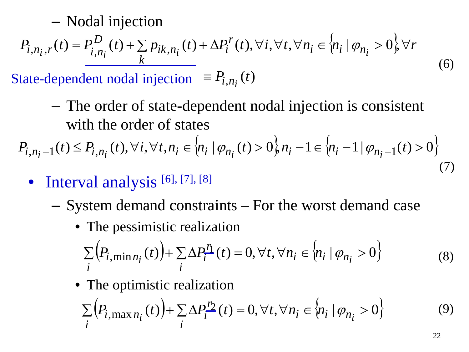– Nodal injection

$$
P_{i,n_i,r}(t) = P_{i,n_i}^D(t) + \sum_k p_{ik,n_i}(t) + \Delta P_i^r(t), \forall i, \forall t, \forall n_i \in \{n_i | \varphi_{n_i} > 0\}, \forall r
$$
\n(6)

State-dependent nodal injection  $\equiv P_{i, n_i}(t)$ 

– The order of state-dependent nodal injection is consistent with the order of states

 $P_{i,n_i-1}(t) \leq P_{i,n_i}(t), \forall i, \forall t, n_i \in \{n_i \mid \varphi_{n_i}(t) > 0\}, n_i-1 \in \{n_i-1 \mid \varphi_{n_i-1}(t) > 0\}$ (7)

- Interval analysis [6], [7], [8]
	- System demand constraints For the worst demand case
		- The pessimistic realization

$$
\sum_{i} \left( P_{i, \min n_i}(t) \right) + \sum_{i} \Delta P_i^{\underline{n}}(t) = 0, \forall t, \forall n_i \in \left\{ n_i \mid \varphi_{n_i} > 0 \right\} \tag{8}
$$

• The optimistic realization

$$
\sum_{i} \left( P_{i,\max n_i}(t) \right) + \sum_{i} \Delta P_i^{\prime 2}(t) = 0, \forall t, \forall n_i \in \left\{ n_i \mid \varphi_{n_i} > 0 \right\} \tag{9}
$$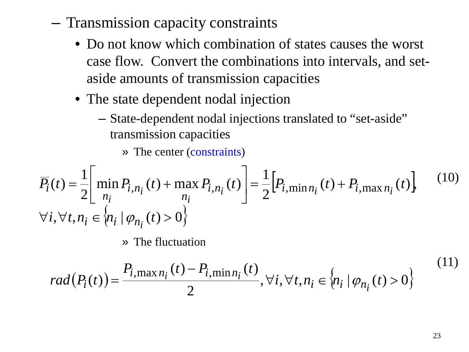- Transmission capacity constraints
	- Do not know which combination of states causes the worst case flow. Convert the combinations into intervals, and setaside amounts of transmission capacities
	- The state dependent nodal injection
		- State-dependent nodal injections translated to "set-aside" transmission capacities
			- » The center (constraints)

$$
\overline{P_i}(t) = \frac{1}{2} \left[ \min_{n_i} P_{i,n_i}(t) + \max_{n_i} P_{i,n_i}(t) \right] = \frac{1}{2} \left[ P_{i,\min_{n_i}}(t) + P_{i,\max_{n_i}}(t) \right],
$$
\n
$$
\forall i, \forall t, n_i \in \{ n_i \mid \varphi_{n_i}(t) > 0 \}
$$
\n(10)

» The fluctuation

$$
rad(P_i(t)) = \frac{P_{i, \max n_i}(t) - P_{i, \min n_i}(t)}{2}, \forall i, \forall t, n_i \in \{n_i | \varphi_{n_i}(t) > 0\}
$$
(11)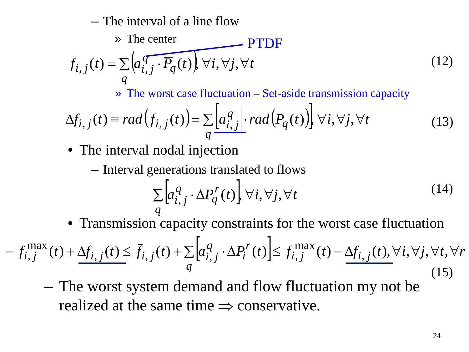– The interval of a line flow

$$
\vec{f}_{i,j}(t) = \sum_{q} \left( a_{i,j}^q \cdot \overline{P_q}(t) \right) \forall i, \forall j, \forall t
$$
\n(12)

» The worst case fluctuation – Set-aside transmission capacity

$$
\Delta f_{i,j}(t) \equiv rad(f_{i,j}(t)) = \sum_{q} \left[ a_{i,j}^{q} \right] \cdot rad(P_q(t)) \right] \forall i, \forall j, \forall t
$$
\n(13)

- The interval nodal injection
	- Interval generations translated to flows

$$
\sum_{q} \left[ a_{i,j}^{q} \cdot \Delta P_{q}^{r}(t) \right] \forall i, \forall j, \forall t
$$
\n(14)

• Transmission capacity constraints for the worst case fluctuation

$$
-f_{i,j}^{\max}(t) + \underline{\Delta f_{i,j}}(t) \le \bar{f}_{i,j}(t) + \sum_{q} \left[ a_{i,j}^q \cdot \Delta P_i^r(t) \right] \le f_{i,j}^{\max}(t) - \underline{\Delta f_{i,j}}(t), \forall i, \forall j, \forall t, \forall r
$$
\n(15)

– The worst system demand and flow fluctuation my not be realized at the same time  $\Rightarrow$  conservative.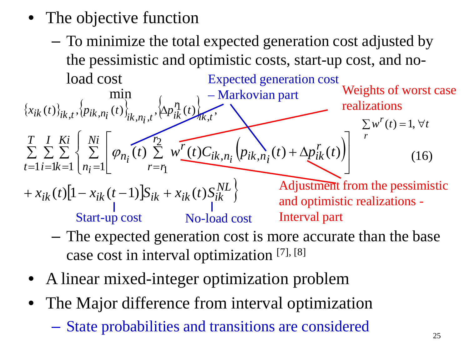- The objective function
	- To minimize the total expected generation cost adjusted by the pessimistic and optimistic costs, start-up cost, and noload cost Expected generation cost

 ${x_{ik}(t)}_{ik}(t)_{ik}(t)_{k,n}(t)_{i}$ ,  $\{ \Delta p_{ik}^{n}(t) \}$  $\left( p_{ik,n}(t) + \Delta p_{ik}^{r}(t) \right)$  $+ x_{ik}(t) \left[ 1 - x_{ik}(t-1) \right] S_{ik} + x_{ik}(t) S_{ik}^{NL}$ *T t I i Ki k Ni n r*  $r = r$ *r*  $i k, n_i$   $\langle P i k, n_i \rangle$   $\langle I \rangle$  +  $\Delta p_{ik}$ *r*  $w_{n_i}(t) \sum w^r(t) C_{ik,n_i} (p_{ik,n_i}(t) + \Delta p_{ik}^r(t))$ *i*  $i^{(i)} \leftarrow \frac{1}{k!} n_i$  $ik, t$ *r*  $\left\{ \left\langle \left\langle \mu_{i} \right\rangle \right\rangle_{ik,t}, \left\langle \rho_{ik,n_{i}}(t) \right\rangle_{ik,n_{i},t}, \left\langle \Delta p_{ik}^{\eta}(t) \right\rangle_{ik,t}, \right\}$  $(t) \sum w'(t) C_{ik,n} ( p_{ik,n}(t) + \Delta p'_{ik}(t) )$ min  $\mathcal{L}_{1} \sum_{i=1}^{L} \sum_{k=1}^{L} \begin{cases} \sum_{n_i=1}^{L} \varphi_{n_i}(t) \sum_{r=n_i}^{L} W(t) C_{ik,n_i} (p_{ik,n_i}) \end{cases}$  $\frac{2}{3}$  $\sum_{i=1}^{\infty}\sum_{i=1}^{\infty}\left\{\sum_{n_i=1}^{\infty}\left[\varphi_{n_i}(t)\sum_{r=n_1}^{\infty}\right]\right\}$  $\vert$  $\left\{ \right.$  $\begin{bmatrix} \phantom{-} \end{bmatrix}$  $\sum \left| \varphi_{n_i}(t) \sum w'_{\perp}(t) C_{ik,n_i} (p_{ik,n_i}(t) + \Delta p'_{ik}(t)) \right|$  $\rfloor$  $\left| \varphi_{n_i}(t) \sum_{i=1}^{r_2} w^{r}(t) C_{ik,n_i} (p_{ik,n_i}(t) + \Delta p_{ik}^{r}(t)) \right|$ L  $\mathbf{r}$  $\sum_{i=1}^{n} w_i^r(t) C_{ik,n_i} (p_{ik,n_i}(t) + \Delta)$  $=1 i = 1k = 1 |n_i = 1 |$   $r =$  $\varphi$ Adjustment from the pessimistic and optimistic realizations - Interval part – Markovian part Start-up cost No-load cost (16)  $\sum w^{r}(t) = 1, \forall t$ *r* Weights of worst case realizations

- The expected generation cost is more accurate than the base case cost in interval optimization [7], [8]
- A linear mixed-integer optimization problem
- The Major difference from interval optimization
	- State probabilities and transitions are considered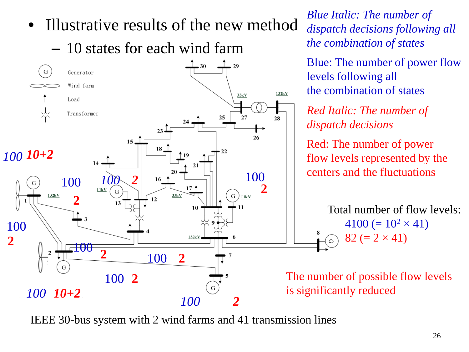

IEEE 30-bus system with 2 wind farms and 41 transmission lines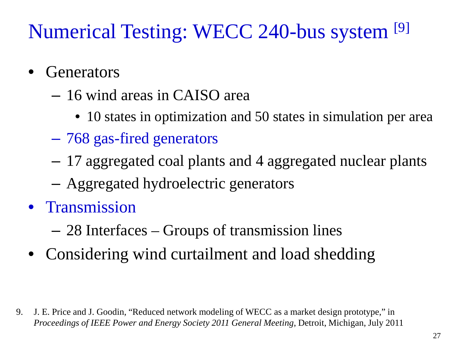# Numerical Testing: WECC 240-bus system [9]

- **Generators** 
	- 16 wind areas in CAISO area
		- 10 states in optimization and 50 states in simulation per area
	- 768 gas-fired generators
	- 17 aggregated coal plants and 4 aggregated nuclear plants
	- Aggregated hydroelectric generators
- Transmission
	- 28 Interfaces Groups of transmission lines
- Considering wind curtailment and load shedding

9. J. E. Price and J. Goodin, "Reduced network modeling of WECC as a market design prototype," in *Proceedings of IEEE Power and Energy Society 2011 General Meeting*, Detroit, Michigan, July 2011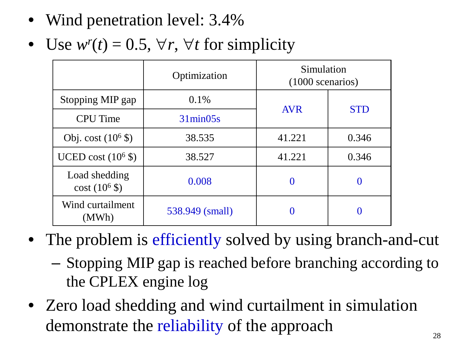- Wind penetration level: 3.4%
- Use  $w^r(t) = 0.5$ ,  $\forall r$ ,  $\forall t$  for simplicity

|                                        | Optimization      | Simulation<br>$(1000$ scenarios) |            |  |
|----------------------------------------|-------------------|----------------------------------|------------|--|
| Stopping MIP gap                       | $0.1\%$           | <b>AVR</b>                       | <b>STD</b> |  |
| <b>CPU</b> Time                        | $31\text{min}05s$ |                                  |            |  |
| Obj. $cost(10^6$ \$)                   | 38.535            | 41.221                           | 0.346      |  |
| UCED cost $(10^6$ \$)                  | 38.527            | 41.221                           | 0.346      |  |
| Load shedding<br>$\cot(10^6 \text{$ }) | 0.008             | 0                                | $\theta$   |  |
| Wind curtailment<br>(MWh)              | 538.949 (small)   |                                  | 0          |  |

- The problem is efficiently solved by using branch-and-cut
	- Stopping MIP gap is reached before branching according to the CPLEX engine log
- Zero load shedding and wind curtailment in simulation demonstrate the reliability of the approach  $\frac{28}{28}$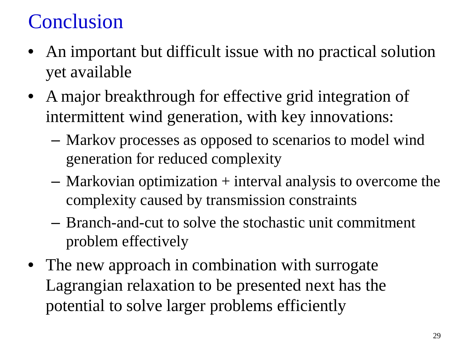# Conclusion

- An important but difficult issue with no practical solution yet available
- A major breakthrough for effective grid integration of intermittent wind generation, with key innovations:
	- Markov processes as opposed to scenarios to model wind generation for reduced complexity
	- Markovian optimization + interval analysis to overcome the complexity caused by transmission constraints
	- Branch-and-cut to solve the stochastic unit commitment problem effectively
- The new approach in combination with surrogate Lagrangian relaxation to be presented next has the potential to solve larger problems efficiently